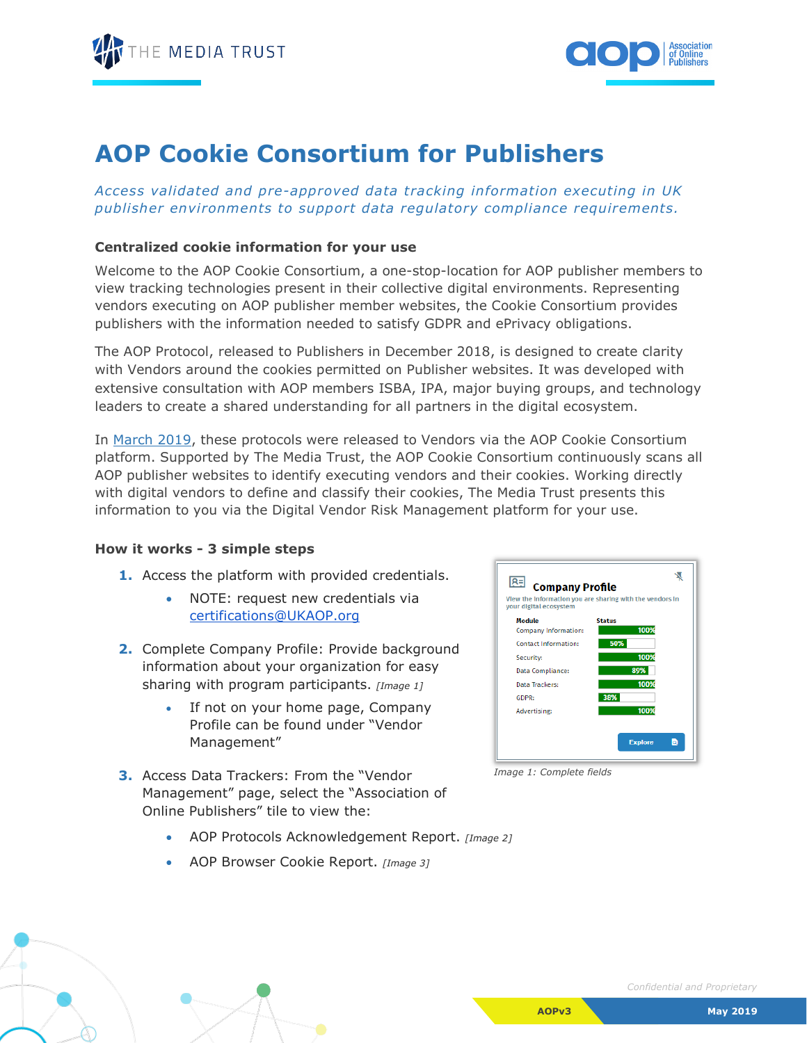



## **AOP Cookie Consortium for Publishers**

*Access validated and pre-approved data tracking information executing in UK publisher environments to support data regulatory compliance requirements.*

## **Centralized cookie information for your use**

Welcome to the AOP Cookie Consortium, a one-stop-location for AOP publisher members to view tracking technologies present in their collective digital environments. Representing vendors executing on AOP publisher member websites, the Cookie Consortium provides publishers with the information needed to satisfy GDPR and ePrivacy obligations.

The AOP Protocol, released to Publishers in December 2018, is designed to create clarity with Vendors around the cookies permitted on Publisher websites. It was developed with extensive consultation with AOP members ISBA, IPA, major buying groups, and technology leaders to create a shared understanding for all partners in the digital ecosystem.

In [March 2019,](https://www.ukaop.org/aop-protocol) these protocols were released to Vendors via the AOP Cookie Consortium platform. Supported by The Media Trust, the AOP Cookie Consortium continuously scans all AOP publisher websites to identify executing vendors and their cookies. Working directly with digital vendors to define and classify their cookies, The Media Trust presents this information to you via the Digital Vendor Risk Management platform for your use.

## **How it works - 3 simple steps**

- **1.** Access the platform with provided credentials.
	- NOTE: request new credentials via [certifications@UKAOP.org](mailto:certifications@UKAOP.org)
- **2.** Complete Company Profile: Provide background information about your organization for easy sharing with program participants. *[Image 1]*
	- If not on your home page, Company Profile can be found under "Vendor Management"
- **3.** Access Data Trackers: From the "Vendor Management" page, select the "Association of Online Publishers" tile to view the:



*Image 1: Complete fields*

- AOP Protocols Acknowledgement Report. *[Image 2]*
- AOP Browser Cookie Report. *[Image 3]*